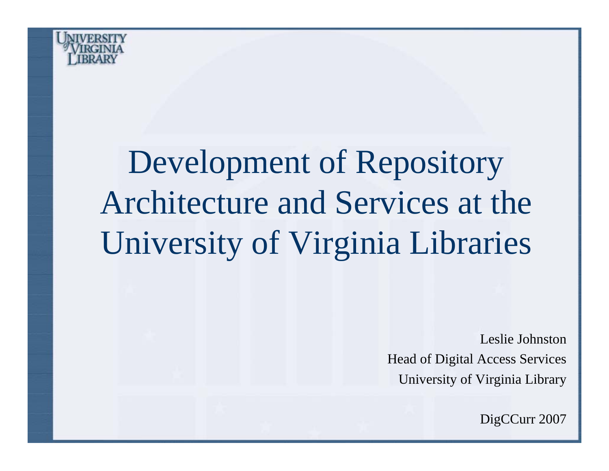

# Development of Repository Architecture and Services at the University of Virginia Libraries

Leslie JohnstonHead of Digital Access Services University of Virginia Library

DigCCurr 2007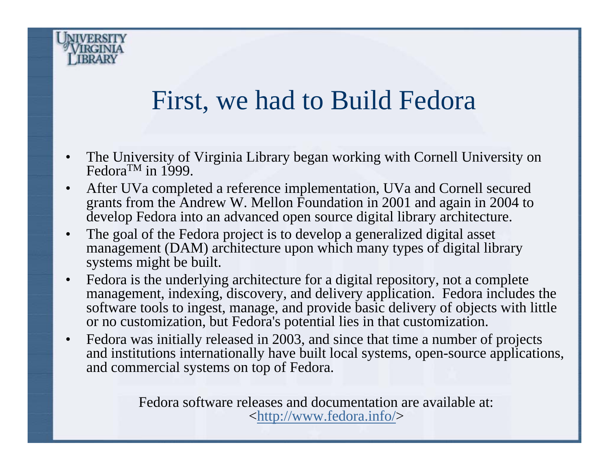

#### First, we had to Build Fedora

- • The University of Virginia Library began working with Cornell University on Fedora<sup>TM</sup> in 1999.
- $\bullet$  After UVa completed a reference implementation, UVa and Cornell secured grants from the Andrew W. Mellon Foundation in 2001 and again in 2004 to develop Fedora into an advanced open source digital library architecture.
- • The goal of the Fedora project is to develop a generalized digital asset management (DAM) architecture upon which many types of digital library systems might be built.
- $\bullet$  Fedora is the underlying architecture for a digital repository, not a complete management, indexing, discovery, and delivery application. Fedora includes the software tools to ingest, manage, and provide basic delivery of objects with little or no customization, but Fedora's potential lies in that customization.
- $\bullet$  Fedora was initially released in 2003, and since that time a number of projects and institutions internationally have built local systems, open-source applications, and commercial systems on top of Fedora.

Fedora software releases and documentation are available at: <<u><http://www.fedora.info/></u>>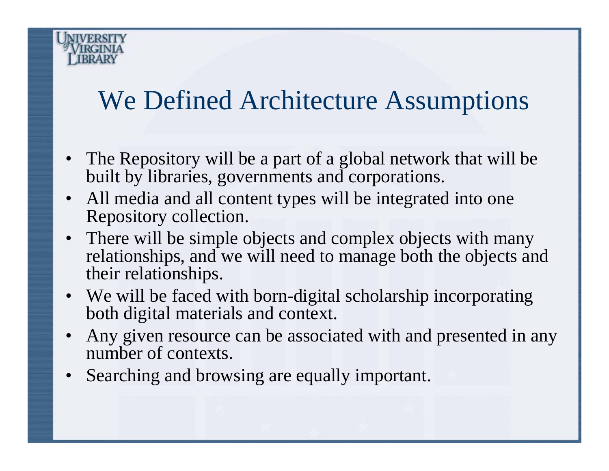#### We Defined Architecture Assumptions

- The Repository will be a part of a global network that will be built by libraries, governments and corporations.
- All media and all content types will be integrated into one Repository collection.
- There will be simple objects and complex objects with many relationships, and we will need to manage both the objects and their relationships.
- We will be faced with born-digital scholarship incorporating both digital materials and context.
- • Any given resource can be associated with and presented in any number of contexts.
- •Searching and browsing are equally important.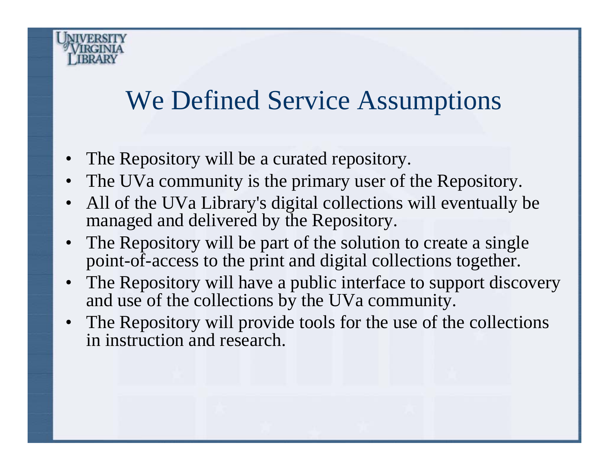#### We Defined Service Assumptions

- •The Repository will be a curated repository.
- •The UVa community is the primary user of the Repository.
- • All of the UVa Library's digital collections will eventually be managed and delivered by the Repository.
- • The Repository will be part of the solution to create a single point-of-access to the print and digital collections together.
- • The Repository will have a public interface to support discovery and use of the collections by the UVa community.
- • The Repository will provide tools for the use of the collections in instruction and research.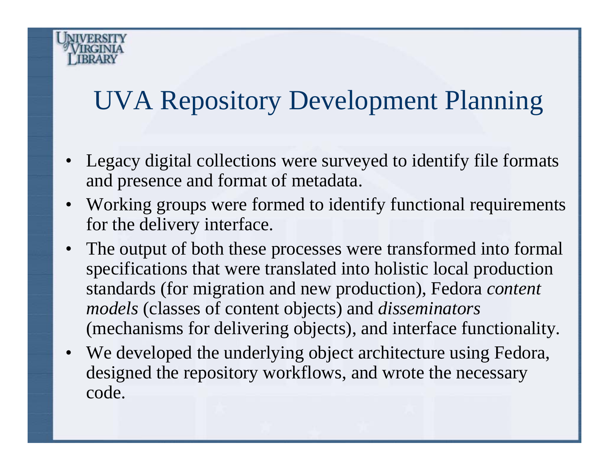## UVA Repository Development Planning

- Legacy digital collections were surveyed to identify file formats and presence and format of metadata.
- Working groups were formed to identify functional requirements for the delivery interface.
- The output of both these processes were transformed into formal specifications that were translated into holistic local production standards (for migration and new production), Fedora *content models* (classes of content objects) and *disseminators* (mechanisms for delivering objects), and interface functionality.
- We developed the underlying object architecture using Fedora, designed the repository workflows, and wrote the necessary code.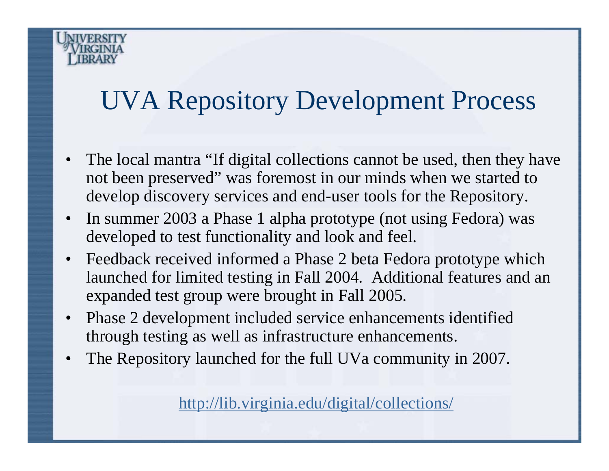## UVA Repository Development Process

- The local mantra "If digital collections cannot be used, then they have not been preserved" was foremost in our minds when we started to develop discovery services and end-user tools for the Repository.
- In summer 2003 a Phase 1 alpha prototype (not using Fedora) was developed to test functionality and look and feel.
- • Feedback received informed a Phase 2 beta Fedora prototype which launched for limited testing in Fall 2004. Additional features and an expanded test group were brought in Fall 2005.
- • Phase 2 development included service enhancements identified through testing as well as infrastructure enhancements.
- •The Repository launched for the full UVa community in 2007.

<http://lib.virginia.edu/digital/collections/>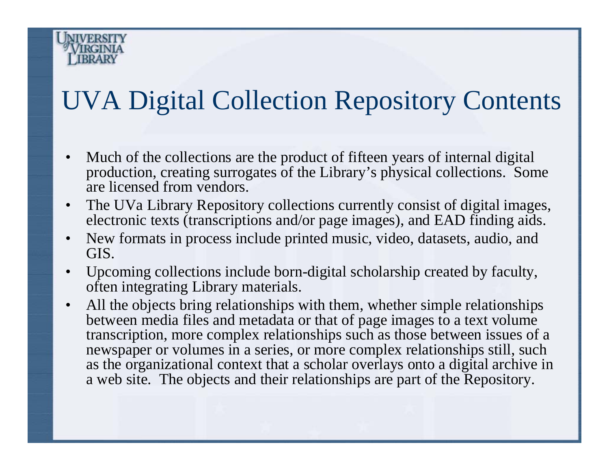## UVA Digital Collection Repository Contents

- • Much of the collections are the product of fifteen years of internal digital production, creating surrogates of the Library's physical collections. Some are licensed from vendors.
- $\bullet$  The UVa Library Repository collections currently consist of digital images, electronic texts (transcriptions and/or page images), and EAD finding aids.
- • New formats in process include printed music, video, datasets, audio, and GIS.
- • Upcoming collections include born-digital scholarship created by faculty, often integrating Library materials.
- • All the objects bring relationships with them, whether simple relationships between media files and metadata or that of page images to a text volume transcription, more complex relationships such as those between issues of a newspaper or volumes in a series, or more complex relationships still, such as the organizational context that a scholar overlays onto a digital archive in a web site. The objects and their relationships are part of the Repository.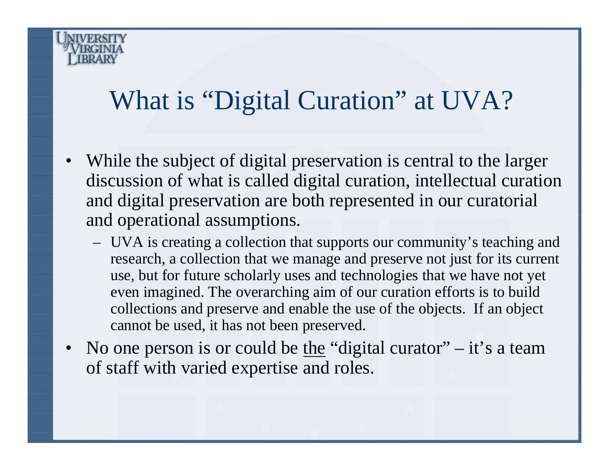## What is "Digital Curation" at UVA?

- • While the subject of digital preservation is central to the larger discussion of what is called digital curation, intellectual curation and digital preservation are both represented in our curatorial and operational assumptions.
	- UVA is creating a collection that supports our community's teaching and research, a collection that we manage and preserve not just for its current use, but for future scholarly uses and technologies that we have not yet even imagined. The overarching aim of our curation efforts is to build collections and preserve and enable the use of the objects. If an object cannot be used, it has not been preserved.
- No one person is or could be <u>the</u> "digital curator" it's a team of staff with varied expertise and roles.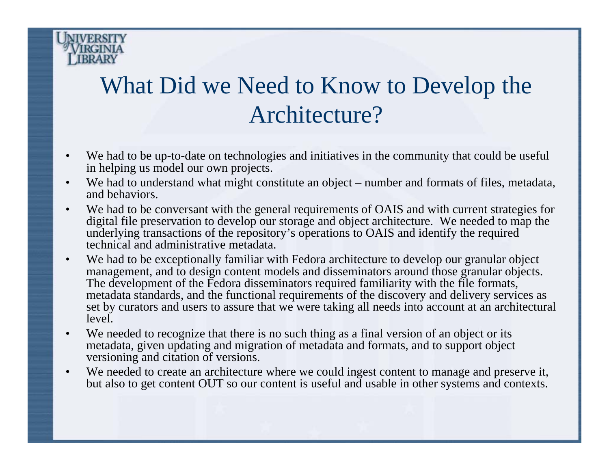

#### What Did we Need to Know to Develop the Architecture?

- • We had to be up-to-date on technologies and initiatives in the community that could be useful in helping us model our own projects.
- •We had to understand what might constitute an object – number and formats of files, metadata, and behaviors.
- $\bullet$  We had to be conversant with the general requirements of OAIS and with current strategies for digital file preservation to develop our storage and object architecture. We needed to map the underlying transactions of the repository's operations to OAIS and identify the required technical and administrative metadata.
- $\bullet$  We had to be exceptionally familiar with Fedora architecture to develop our granular object management, and to design content models and disseminators around those granular objects. The development of the Fedora disseminators required familiarity with the file formats, metadata standards, and the functional requirements of the discovery and delivery services as set by curators and users to assure that we were taking all needs into account at an architectural leve<sup>l</sup>
- •We needed to recognize that there is no such thing as a final version of an object or its metadata, given updating and migration of metadata and formats, and to support object versioning and citation of versions.
- •We needed to create an architecture where we could ingest content to manage and preserve it, but also to get content OUT so our content is useful and usable in other systems and contexts.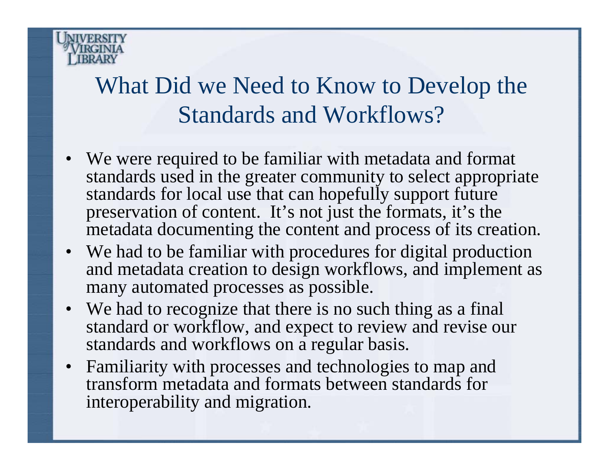

#### What Did we Need to Know to Develop the Standards and Workflows?

- We were required to be familiar with metadata and format standards used in the greater community to select appropriate standards for local use that can hopefully support future preservation of content. It's not just the formats, it's the metadata documenting the content and process of its creation.
- We had to be familiar with procedures for digital production and metadata creation to design workflows, and implement as many automated processes as possible.
- We had to recognize that there is no such thing as a final standard or workflow, and expect to review and revise our standards and workflows on a regular basis.
- Familiarity with processes and technologies to map and transform metadata and formats between standards for interoperability and migration.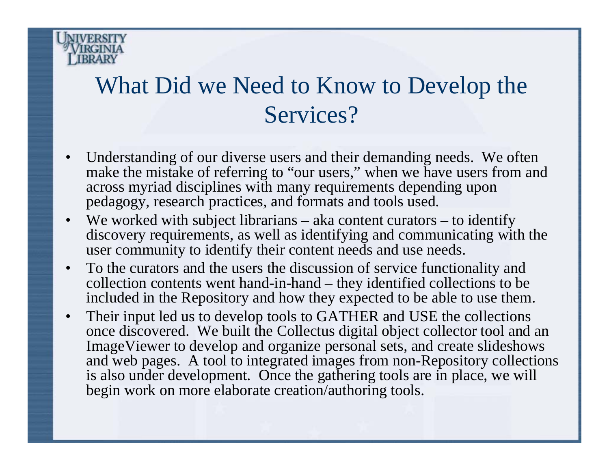

#### What Did we Need to Know to Develop the Services?

- • Understanding of our diverse users and their demanding needs. We often make the mistake of referring to "our users," when we have users from and across myriad disciplines with many requirements depending upon pedagogy, research practices, and formats and tools used.
- We worked with subject librarians aka content curators to identify discovery requirements, as well as identifying and communicating with the user community to identify their content needs and use needs.
- • To the curators and the users the discussion of service functionality and collection contents went hand-in-hand – they identified collections to be included in the Repository and how they expected to be able to use them.
- • Their input led us to develop tools to GATHER and USE the collections once discovered. We built the Collectus digital object collector tool and an ImageViewer to develop and organize personal sets, and create slideshows and web pages. A tool to integrated images from non-Repository collections is also under development. Once the gathering tools are in place, we will begin work on more elaborate creation/authoring tools.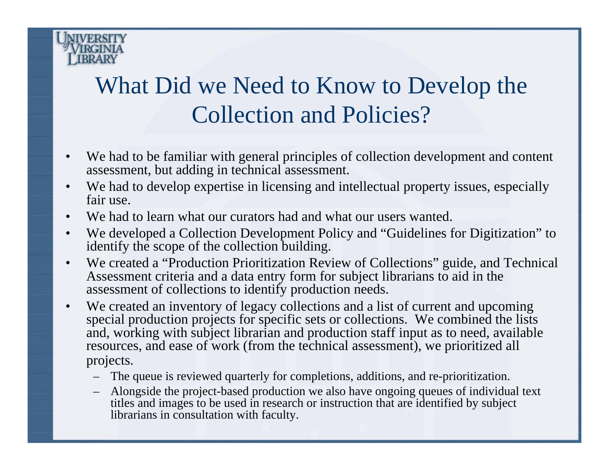

#### What Did we Need to Know to Develop the Collection and Policies?

- • We had to be familiar with general principles of collection development and content assessment, but adding in technical assessment.
- • We had to develop expertise in licensing and intellectual property issues, especially fair use.
- •We had to learn what our curators had and what our users wanted.
- $\bullet$  We developed a Collection Development Policy and "Guidelines for Digitization" to identify the scope of the collection building.
- • We created a "Production Prioritization Review of Collections" guide, and Technical Assessment criteria and a data entry form for subject librarians to aid in the assessment of collections to identify production needs.
- $\bullet$  We created an inventory of legacy collections and a list of current and upcoming special production projects for specific sets or collections. We combined the lists and, working with subject librarian and production staff input as to need, available resources, and ease of work (from the technical assessment), we prioritized all projects.
	- The queue is reviewed quarterly for completions, additions, and re-prioritization.
	- Alongside the project-based production we also have ongoing queues of individual text titles and images to be used in research or instruction that are identified by subject librarians in consultation with faculty.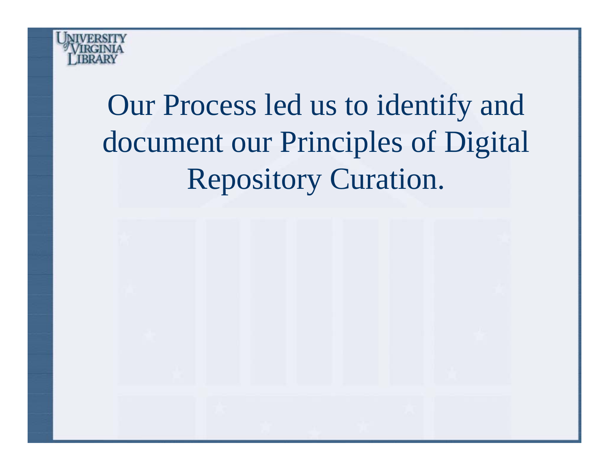

## Our Process led us to identify and document our Principles of Digital Repository Curation.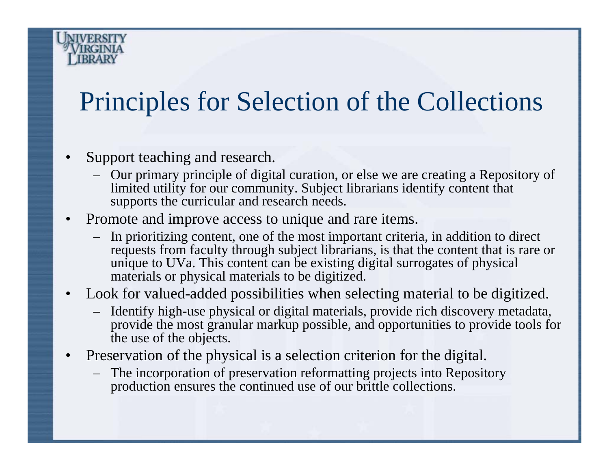## Principles for Selection of the Collections

- • Support teaching and research.
	- Our primary principle of digital curation, or else we are creating a Repository of limited utility for our community. Subject librarians identify content that supports the curricular and research needs.
- • Promote and improve access to unique and rare items.
	- In prioritizing content, one of the most important criteria, in addition to direct requests from faculty through subject librarians, is that the content that is rare or unique to UVa. This content can be existing digital surrogates of physical materials or physical materials to be digitized.
- • Look for valued-added possibilities when selecting material to be digitized.
	- Identify high-use physical or digital materials, provide rich discovery metadata, provide the most granular markup possible, and opportunities to provide tools for the use of the objects.
- • Preservation of the physical is a selection criterion for the digital.
	- The incorporation of preservation reformatting projects into Repository production ensures the continued use of our brittle collections.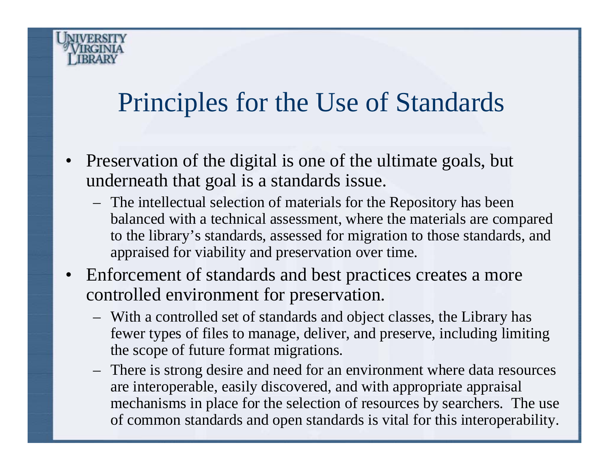## Principles for the Use of Standards

- Preservation of the digital is one of the ultimate goals, but underneath that goal is a standards issue.
	- The intellectual selection of materials for the Repository has been balanced with a technical assessment, where the materials are compared to the library's standards, assessed for migration to those standards, and appraised for viability and preservation over time.
- Enforcement of standards and best practices creates a more controlled environment for preservation.
	- With a controlled set of standards and object classes, the Library has fewer types of files to manage, deliver, and preserve, including limiting the scope of future format migrations.
	- There is strong desire and need for an environment where data resources are interoperable, easily discovered, and with appropriate appraisal mechanisms in place for the selection of resources by searchers. The use of common standards and open standards is vital for this interoperability.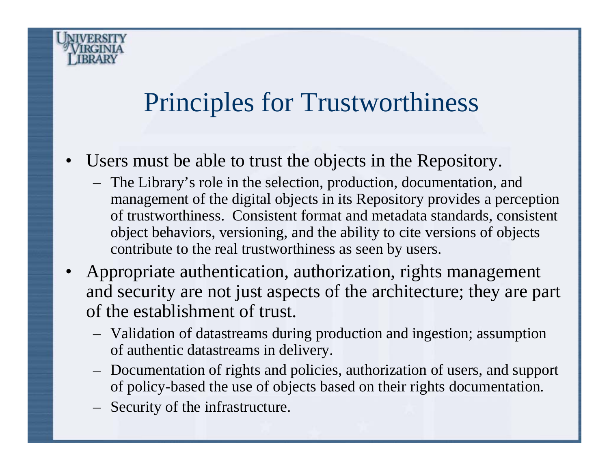

## Principles for Trustworthiness

- • Users must be able to trust the objects in the Repository.
	- The Library's role in the selection, production, documentation, and management of the digital objects in its Repository provides a perception of trustworthiness. Consistent format and metadata standards, consistent object behaviors, versioning, and the ability to cite versions of objects contribute to the real trustworthiness as seen by users.
- Appropriate authentication, authorization, rights management and security are not just aspects of the architecture; they are part of the establishment of trust.
	- Validation of datastreams during production and ingestion; assumption of authentic datastreams in delivery.
	- Documentation of rights and policies, authorization of users, and support of policy-based the use of objects based on their rights documentation.
	- Security of the infrastructure.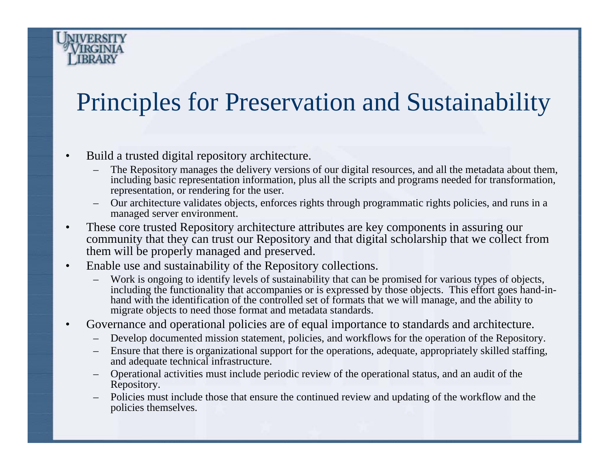#### Principles for Preservation and Sustainability

- • Build a trusted digital repository architecture.
	- The Repository manages the delivery versions of our digital resources, and all the metadata about them, including basic representation information, plus all the scripts and programs needed for transformation, representation, or rendering for the user.
	- Our architecture validates objects, enforces rights through programmatic rights policies, and runs in a managed server environment.
- • These core trusted Repository architecture attributes are key components in assuring our community that they can trust our Repository and that digital scholarship that we collect from them will be properly managed and preserved.
- $\bullet$  Enable use and sustainability of the Repository collections.
	- Work is ongoing to identify levels of sustainability that can be promised for various types of objects, including the functionality that accompanies or is expressed by those objects. This effort goes hand-inhand with the identification of the controlled set of formats that we will manage, and the ability to migrate objects to need those format and metadata standards.
- • Governance and operational policies are of equal importance to standards and architecture.
	- Develop documented mission statement, policies, and workflows for the operation of the Repository.
	- Ensure that there is organizational support for the operations, adequate, appropriately skilled staffing, and adequate technical infrastructure.
	- Operational activities must include periodic review of the operational status, and an audit of the Repository.
	- Policies must include those that ensure the continued review and updating of the workflow and the policies themselves.